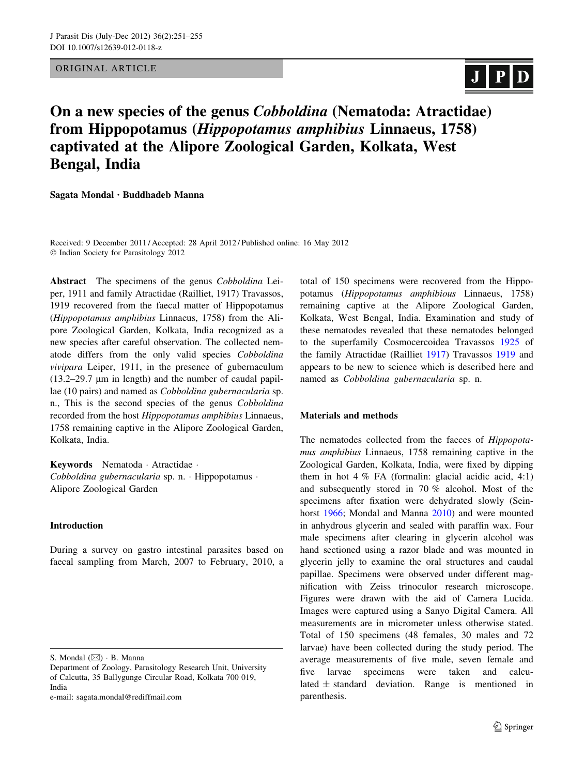ORIGINAL ARTICLE

# $J P D$

# On a new species of the genus Cobboldina (Nematoda: Atractidae) from Hippopotamus (Hippopotamus amphibius Linnaeus, 1758) captivated at the Alipore Zoological Garden, Kolkata, West Bengal, India

Sagata Mondal • Buddhadeb Manna

Received: 9 December 2011 / Accepted: 28 April 2012 / Published online: 16 May 2012 - Indian Society for Parasitology 2012

Abstract The specimens of the genus Cobboldina Leiper, 1911 and family Atractidae (Railliet, 1917) Travassos, 1919 recovered from the faecal matter of Hippopotamus (Hippopotamus amphibius Linnaeus, 1758) from the Alipore Zoological Garden, Kolkata, India recognized as a new species after careful observation. The collected nematode differs from the only valid species Cobboldina vivipara Leiper, 1911, in the presence of gubernaculum  $(13.2-29.7 \mu m)$  in length) and the number of caudal papillae (10 pairs) and named as Cobboldina gubernacularia sp. n., This is the second species of the genus Cobboldina recorded from the host Hippopotamus amphibius Linnaeus, 1758 remaining captive in the Alipore Zoological Garden, Kolkata, India.

Keywords Nematoda - Atractidae - Cobboldina gubernacularia sp. n. - Hippopotamus - Alipore Zoological Garden

## Introduction

During a survey on gastro intestinal parasites based on faecal sampling from March, 2007 to February, 2010, a

e-mail: sagata.mondal@rediffmail.com

total of 150 specimens were recovered from the Hippopotamus (Hippopotamus amphibious Linnaeus, 1758) remaining captive at the Alipore Zoological Garden, Kolkata, West Bengal, India. Examination and study of these nematodes revealed that these nematodes belonged to the superfamily Cosmocercoidea Travassos [1925](#page-4-0) of the family Atractidae (Railliet [1917\)](#page-4-0) Travassos [1919](#page-4-0) and appears to be new to science which is described here and named as Cobboldina gubernacularia sp. n.

### Materials and methods

The nematodes collected from the faeces of Hippopotamus amphibius Linnaeus, 1758 remaining captive in the Zoological Garden, Kolkata, India, were fixed by dipping them in hot 4  $\%$  FA (formalin: glacial acidic acid, 4:1) and subsequently stored in 70 % alcohol. Most of the specimens after fixation were dehydrated slowly (Seinhorst [1966;](#page-4-0) Mondal and Manna [2010\)](#page-4-0) and were mounted in anhydrous glycerin and sealed with paraffin wax. Four male specimens after clearing in glycerin alcohol was hand sectioned using a razor blade and was mounted in glycerin jelly to examine the oral structures and caudal papillae. Specimens were observed under different magnification with Zeiss trinoculor research microscope. Figures were drawn with the aid of Camera Lucida. Images were captured using a Sanyo Digital Camera. All measurements are in micrometer unless otherwise stated. Total of 150 specimens (48 females, 30 males and 72 larvae) have been collected during the study period. The average measurements of five male, seven female and five larvae specimens were taken and calculated  $\pm$  standard deviation. Range is mentioned in parenthesis.

S. Mondal  $(\boxtimes) \cdot$  B. Manna

Department of Zoology, Parasitology Research Unit, University of Calcutta, 35 Ballygunge Circular Road, Kolkata 700 019, India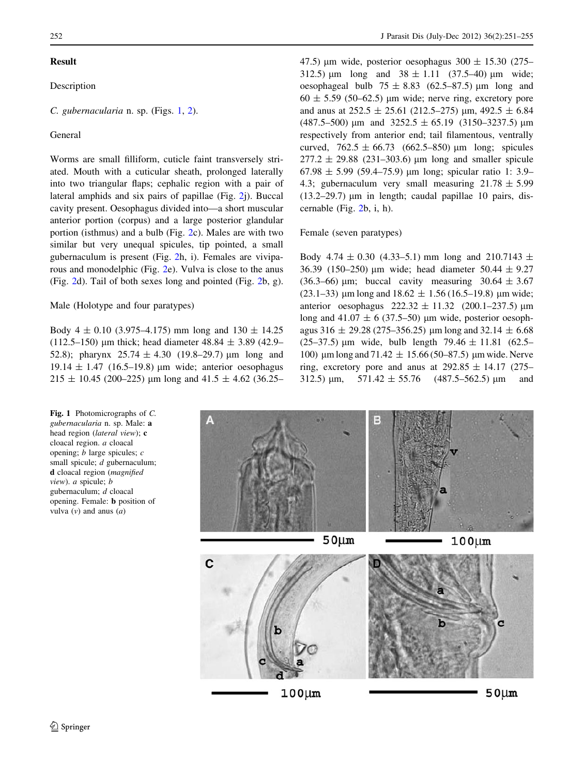### Result

# Description

# C. gubernacularia n. sp. (Figs. 1, [2](#page-2-0)).

# General

Worms are small filliform, cuticle faint transversely striated. Mouth with a cuticular sheath, prolonged laterally into two triangular flaps; cephalic region with a pair of lateral amphids and six pairs of papillae (Fig. [2j](#page-2-0)). Buccal cavity present. Oesophagus divided into—a short muscular anterior portion (corpus) and a large posterior glandular portion (isthmus) and a bulb (Fig. [2](#page-2-0)c). Males are with two similar but very unequal spicules, tip pointed, a small gubernaculum is present (Fig. [2](#page-2-0)h, i). Females are viviparous and monodelphic (Fig. [2](#page-2-0)e). Vulva is close to the anus (Fig. [2](#page-2-0)d). Tail of both sexes long and pointed (Fig. [2b](#page-2-0), g).

### Male (Holotype and four paratypes)

Body 4  $\pm$  0.10 (3.975–4.175) mm long and 130  $\pm$  14.25 (112.5–150) µm thick; head diameter  $48.84 \pm 3.89$  (42.9– 52.8); pharynx  $25.74 \pm 4.30$  (19.8–29.7) µm long and 19.14  $\pm$  1.47 (16.5–19.8) µm wide; anterior oesophagus  $215 \pm 10.45$  (200–225) µm long and 41.5  $\pm$  4.62 (36.25– 47.5) um wide, posterior oesophagus  $300 \pm 15.30$  (275– 312.5)  $\mu$ m long and 38  $\pm$  1.11 (37.5–40)  $\mu$ m wide; oesophageal bulb  $75 \pm 8.83$  (62.5–87.5) µm long and  $60 \pm 5.59$  (50–62.5) µm wide; nerve ring, excretory pore and anus at  $252.5 \pm 25.61$  (212.5–275) µm, 492.5  $\pm$  6.84  $(487.5–500)$  µm and  $3252.5 \pm 65.19$   $(3150–3237.5)$  µm respectively from anterior end; tail filamentous, ventrally curved,  $762.5 \pm 66.73$  (662.5–850) µm long; spicules  $277.2 \pm 29.88$  (231–303.6) µm long and smaller spicule 67.98  $\pm$  5.99 (59.4–75.9) µm long; spicular ratio 1: 3.9– 4.3; gubernaculum very small measuring  $21.78 \pm 5.99$ (13.2–29.7)  $\mu$ m in length; caudal papillae 10 pairs, discernable (Fig. [2b](#page-2-0), i, h).

#### Female (seven paratypes)

Body 4.74  $\pm$  0.30 (4.33–5.1) mm long and 210.7143  $\pm$ 36.39 (150–250) µm wide; head diameter  $50.44 \pm 9.27$ (36.3–66) µm; buccal cavity measuring  $30.64 \pm 3.67$ (23.1–33) µm long and  $18.62 \pm 1.56$  (16.5–19.8) µm wide; anterior oesophagus  $222.32 \pm 11.32$  (200.1–237.5) µm long and  $41.07 \pm 6$  (37.5–50) µm wide, posterior oesophagus 316  $\pm$  29.28 (275–356.25) µm long and 32.14  $\pm$  6.68 (25–37.5) µm wide, bulb length  $79.46 \pm 11.81$  (62.5– 100) µm long and 71.42  $\pm$  15.66 (50–87.5) µm wide. Nerve ring, excretory pore and anus at  $292.85 \pm 14.17$  (275– 312.5)  $\mu$ m, 571.42  $\pm$  55.76 (487.5–562.5)  $\mu$ m and



Fig. 1 Photomicrographs of C. gubernacularia n. sp. Male: a head region (lateral view); c cloacal region. a cloacal opening;  $b$  large spicules;  $c$ small spicule; d gubernaculum; d cloacal region (magnified view). a spicule; b gubernaculum; d cloacal opening. Female: b position of vulva  $(v)$  and anus  $(a)$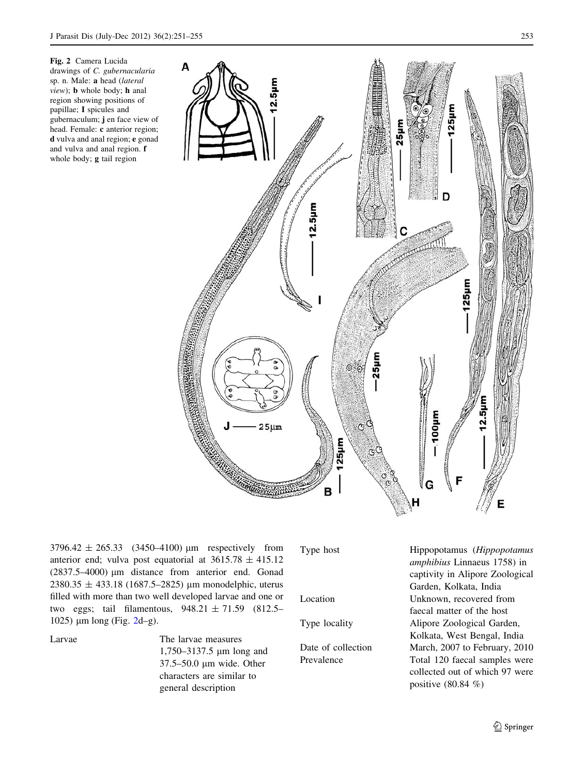<span id="page-2-0"></span>Fig. 2 Camera Lucida drawings of C. gubernacularia sp. n. Male: a head (lateral view); b whole body; h anal region showing positions of papillae; I spicules and gubernaculum; j en face view of head. Female: c anterior region; d vulva and anal region; e gonad and vulva and anal region. f whole body; g tail region



 $3796.42 \pm 265.33$  (3450–4100) µm respectively from anterior end; vulva post equatorial at  $3615.78 \pm 415.12$  $(2837.5-4000)$  µm distance from anterior end. Gonad  $2380.35 \pm 433.18$  (1687.5–2825) µm monodelphic, uterus filled with more than two well developed larvae and one or two eggs; tail filamentous, 948.21 ± 71.59 (812.5– 1025) μm long (Fig. 2d–g).

Larvae The larvae measures 1,750–3137.5 µm long and 37.5–50.0 µm wide. Other characters are similar to general description

Type host Hippopotamus (Hippopotamus amphibius Linnaeus 1758) in captivity in Alipore Zoological Garden, Kolkata, India Location Unknown, recovered from faecal matter of the host Type locality Alipore Zoological Garden, Kolkata, West Bengal, India Date of collection March, 2007 to February, 2010 Prevalence Total 120 faecal samples were collected out of which 97 were positive (80.84 %)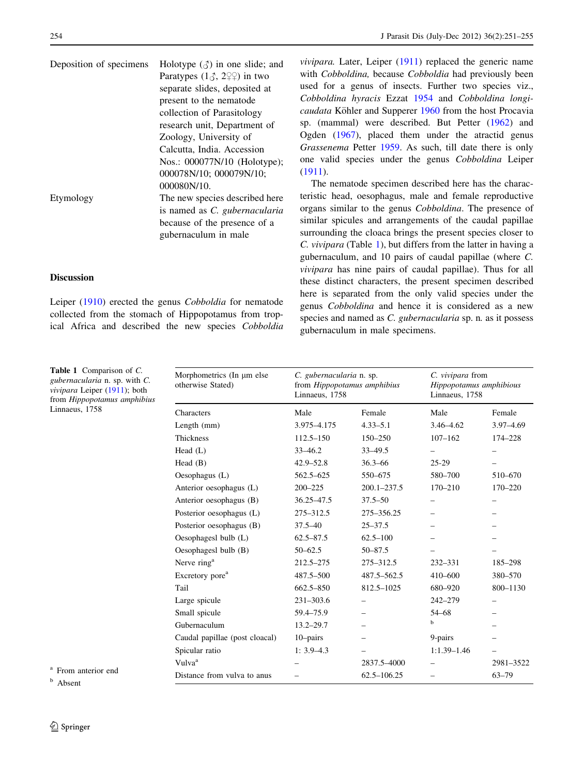| Deposition of specimens | Holotype $(\text{A})$ in one slide; and |  |  |  |
|-------------------------|-----------------------------------------|--|--|--|
|                         | Paratypes $(10, 21)$ in two             |  |  |  |
|                         | separate slides, deposited at           |  |  |  |
|                         | present to the nematode                 |  |  |  |
|                         | collection of Parasitology              |  |  |  |
|                         | research unit, Department of            |  |  |  |
|                         | Zoology, University of                  |  |  |  |
|                         | Calcutta, India. Accession              |  |  |  |
|                         | Nos.: 000077N/10 (Holotype);            |  |  |  |
|                         | 000078N/10; 000079N/10;                 |  |  |  |
|                         | 000080N/10.                             |  |  |  |
| Etymology               | The new species described here          |  |  |  |
|                         | is named as C. gubernacularia           |  |  |  |
|                         | because of the presence of a            |  |  |  |
|                         | gubernaculum in male                    |  |  |  |
|                         |                                         |  |  |  |

# Discussion

Table 1 Comparison of C.

Leiper ([1910](#page-4-0)) erected the genus Cobboldia for nematode collected from the stomach of Hippopotamus from tropical Africa and described the new species Cobboldia *vivipara.* Later, Leiper  $(1911)$  $(1911)$  replaced the generic name with Cobboldina, because Cobboldia had previously been used for a genus of insects. Further two species viz., Cobboldina hyracis Ezzat [1954](#page-4-0) and Cobboldina longi-caudata Köhler and Supperer [1960](#page-4-0) from the host Procavia sp. (mammal) were described. But Petter ([1962\)](#page-4-0) and Ogden ([1967\)](#page-4-0), placed them under the atractid genus Grassenema Petter [1959.](#page-4-0) As such, till date there is only one valid species under the genus Cobboldina Leiper [\(1911](#page-4-0)).

The nematode specimen described here has the characteristic head, oesophagus, male and female reproductive organs similar to the genus Cobboldina. The presence of similar spicules and arrangements of the caudal papillae surrounding the cloaca brings the present species closer to C. vivipara (Table 1), but differs from the latter in having a gubernaculum, and 10 pairs of caudal papillae (where C. vivipara has nine pairs of caudal papillae). Thus for all these distinct characters, the present specimen described here is separated from the only valid species under the genus Cobboldina and hence it is considered as a new species and named as C. gubernacularia sp. n. as it possess gubernaculum in male specimens.

| <b>Table 1</b> Comparison of C.<br>gubernacularia n. sp. with C.<br><i>vivipara</i> Leiper (1911); both<br>from Hippopotamus amphibius<br>Linnaeus, 1758 | Morphometrics (In µm else<br>otherwise Stated) | C. gubernacularia n. sp.<br>from Hippopotamus amphibius<br>Linnaeus, 1758 |                 | C. vivipara from<br>Hippopotamus amphibious<br>Linnaeus, 1758 |               |
|----------------------------------------------------------------------------------------------------------------------------------------------------------|------------------------------------------------|---------------------------------------------------------------------------|-----------------|---------------------------------------------------------------|---------------|
|                                                                                                                                                          | <b>Characters</b>                              | Male                                                                      | Female          | Male                                                          | Female        |
|                                                                                                                                                          | Length (mm)                                    | 3.975-4.175                                                               | $4.33 - 5.1$    | 3.46-4.62                                                     | $3.97 - 4.69$ |
|                                                                                                                                                          | Thickness                                      | $112.5 - 150$                                                             | $150 - 250$     | $107 - 162$                                                   | 174-228       |
|                                                                                                                                                          | Head $(L)$                                     | $33 - 46.2$                                                               | $33 - 49.5$     |                                                               |               |
|                                                                                                                                                          | Head $(B)$                                     | $42.9 - 52.8$                                                             | $36.3 - 66$     | $25-29$                                                       |               |
|                                                                                                                                                          | Oesophagus $(L)$                               | 562.5-625                                                                 | 550-675         | 580-700                                                       | 510-670       |
|                                                                                                                                                          | Anterior oesophagus (L)                        | $200 - 225$                                                               | 200.1-237.5     | 170-210                                                       | 170-220       |
|                                                                                                                                                          | Anterior oesophagus (B)                        | 36.25-47.5                                                                | $37.5 - 50$     |                                                               |               |
|                                                                                                                                                          | Posterior oesophagus (L)                       | 275-312.5                                                                 | 275-356.25      |                                                               |               |
|                                                                                                                                                          | Posterior oesophagus (B)                       | $37.5 - 40$                                                               | $25 - 37.5$     |                                                               |               |
|                                                                                                                                                          | Oesophagesl bulb (L)                           | $62.5 - 87.5$                                                             | $62.5 - 100$    |                                                               |               |
|                                                                                                                                                          | Oesophagesl bulb (B)                           | $50 - 62.5$                                                               | $50 - 87.5$     |                                                               |               |
|                                                                                                                                                          | Nerve ring <sup>a</sup>                        | 212.5-275                                                                 | 275-312.5       | 232-331                                                       | 185-298       |
|                                                                                                                                                          | Excretory pore <sup>a</sup>                    | 487.5-500                                                                 | 487.5-562.5     | 410-600                                                       | 380-570       |
|                                                                                                                                                          | Tail                                           | $662.5 - 850$                                                             | 812.5-1025      | 680-920                                                       | 800-1130      |
|                                                                                                                                                          | Large spicule                                  | $231 - 303.6$                                                             |                 | 242-279                                                       |               |
|                                                                                                                                                          | Small spicule                                  | 59.4–75.9                                                                 |                 | 54–68                                                         |               |
|                                                                                                                                                          | Gubernaculum                                   | $13.2 - 29.7$                                                             |                 | b                                                             |               |
|                                                                                                                                                          | Caudal papillae (post cloacal)                 | $10$ -pairs                                                               |                 | 9-pairs                                                       |               |
|                                                                                                                                                          | Spicular ratio                                 | $1: 3.9 - 4.3$                                                            |                 | $1:1.39-1.46$                                                 |               |
|                                                                                                                                                          | Vulva <sup>a</sup>                             |                                                                           | 2837.5-4000     |                                                               | 2981-3522     |
| <sup>a</sup> From anterior end<br>$b \rightarrow 1$                                                                                                      | Distance from vulva to anus                    |                                                                           | $62.5 - 106.25$ |                                                               | $63 - 79$     |

<sup>b</sup> Absent